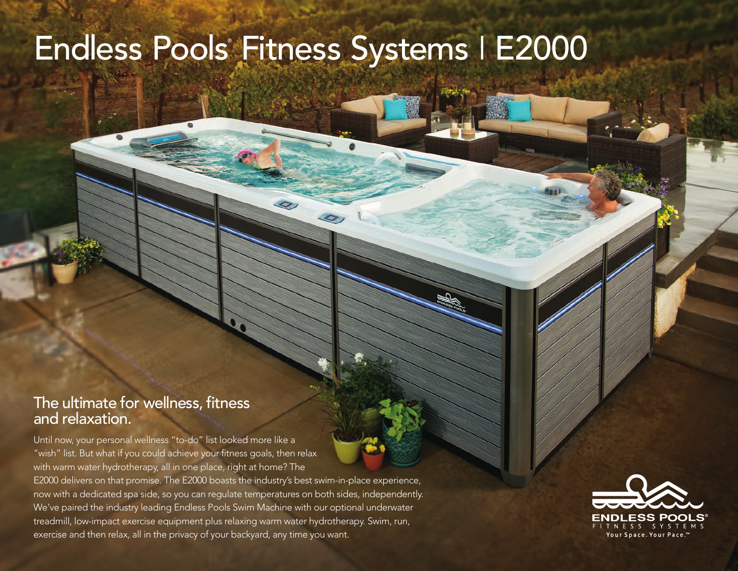## Endless Pools<sup>®</sup> Fitness Systems | E2000

## The ultimate for wellness, fitness and relaxation.

Until now, your personal wellness "to-do" list looked more like a "wish" list. But what if you could achieve your fitness goals, then relax with warm water hydrotherapy, all in one place, right at home? The

E2000 delivers on that promise. The E2000 boasts the industry's best swim-in-place experience, now with a dedicated spa side, so you can regulate temperatures on both sides, independently. We've paired the industry leading Endless Pools Swim Machine with our optional underwater treadmill, low-impact exercise equipment plus relaxing warm water hydrotherapy. Swim, run, exercise and then relax, all in the privacy of your backyard, any time you want.